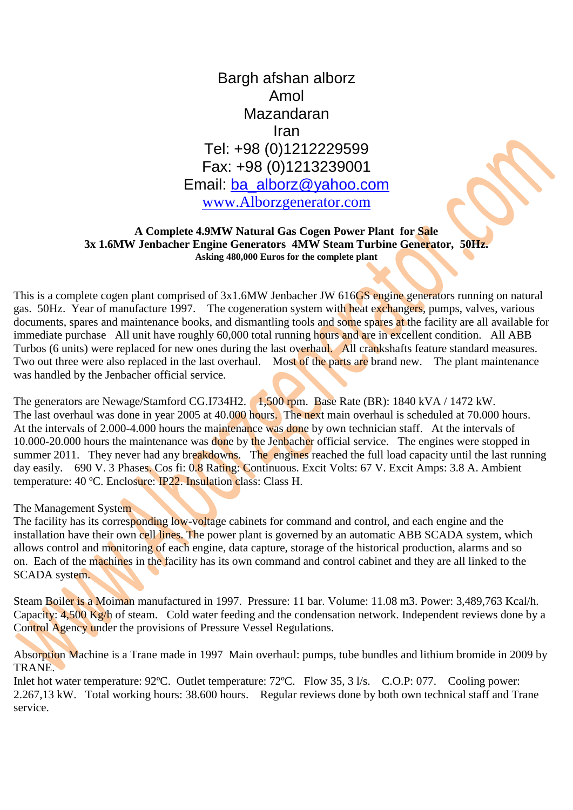## Bargh afshan alborz Amol Mazandaran Iran Tel: +98 (0)1212229599 Fax: +98 (0)1213239001 Email: [ba\\_alborz@yahoo.com](mailto:ba_alborz@yahoo.com) [www.Alborzgenerator.com](http://www.alborzgenerator.com/)

## **A Complete 4.9MW Natural Gas Cogen Power Plant for Sale 3x 1.6MW Jenbacher Engine Generators 4MW Steam Turbine Generator, 50Hz. Asking 480,000 Euros for the complete plant**

This is a complete cogen plant comprised of 3x1.6MW Jenbacher JW 616GS engine generators running on natural gas. 50Hz. Year of manufacture 1997. The cogeneration system with heat exchangers, pumps, valves, various documents, spares and maintenance books, and dismantling tools and some spares at the facility are all available for immediate purchase All unit have roughly 60,000 total running hours and are in excellent condition. All ABB Turbos (6 units) were replaced for new ones during the last overhaul. All crankshafts feature standard measures. Two out three were also replaced in the last overhaul. Most of the parts are brand new. The plant maintenance was handled by the Jenbacher official service.

The generators are Newage/Stamford CG.I734H2. 1,500 rpm. Base Rate (BR): 1840 kVA / 1472 kW. The last overhaul was done in year 2005 at 40.000 hours. The next main overhaul is scheduled at 70.000 hours. At the intervals of 2.000-4.000 hours the maintenance was done by own technician staff. At the intervals of 10.000-20.000 hours the maintenance was done by the Jenbacher official service. The engines were stopped in summer 2011. They never had any breakdowns. The engines reached the full load capacity until the last running day easily. 690 V. 3 Phases. Cos fi: 0.8 Rating: Continuous. Excit Volts: 67 V. Excit Amps: 3.8 A. Ambient temperature: 40 ºC. Enclosure: IP22. Insulation class: Class H.

## The Management System

The facility has its corresponding low-voltage cabinets for command and control, and each engine and the installation have their own cell lines. The power plant is governed by an automatic ABB SCADA system, which allows control and monitoring of each engine, data capture, storage of the historical production, alarms and so on. Each of the machines in the facility has its own command and control cabinet and they are all linked to the SCADA system.

Steam Boiler is a Moiman manufactured in 1997. Pressure: 11 bar. Volume: 11.08 m3. Power: 3,489,763 Kcal/h. Capacity: 4,500 Kg/h of steam. Cold water feeding and the condensation network. Independent reviews done by a Control Agency under the provisions of Pressure Vessel Regulations.

Absorption Machine is a Trane made in 1997 Main overhaul: pumps, tube bundles and lithium bromide in 2009 by TRANE.

Inlet hot water temperature: 92°C. Outlet temperature: 72°C. Flow 35, 3 l/s. C.O.P: 077. Cooling power: 2.267,13 kW. Total working hours: 38.600 hours. Regular reviews done by both own technical staff and Trane service.